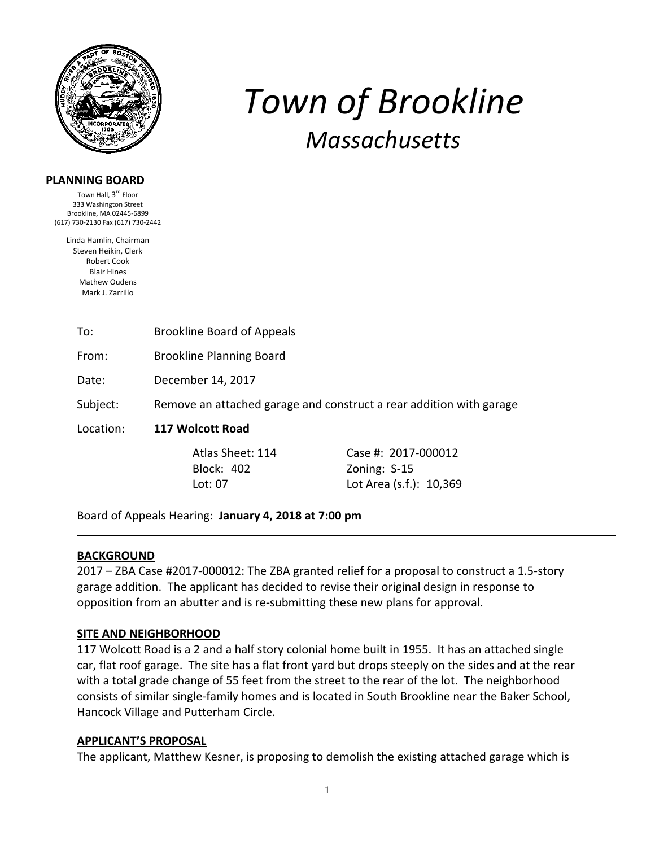

### **PLANNING BOARD**

Town Hall, 3<sup>rd</sup> Floor 333 Washington Street Brookline, MA 02445‐6899 (617) 730‐2130 Fax (617) 730‐2442

> Linda Hamlin, Chairman Steven Heikin, Clerk Robert Cook Blair Hines Mathew Oudens Mark J. Zarrillo

> > To: Brookline Board of Appeals

From: Brookline Planning Board

Date: December 14, 2017

Subject: Remove an attached garage and construct a rear addition with garage

Location: **117 Wolcott Road**

Block: 402 Zoning: S‐15

 Atlas Sheet: 114 Case #: 2017‐000012 Lot: 07 Lot Area (s.f.): 10,369

*Town of Brookline*

*Massachusetts*

Board of Appeals Hearing: **January 4, 2018 at 7:00 pm**

#### **BACKGROUND**

2017 – ZBA Case #2017‐000012: The ZBA granted relief for a proposal to construct a 1.5‐story garage addition. The applicant has decided to revise their original design in response to opposition from an abutter and is re‐submitting these new plans for approval.

#### **SITE AND NEIGHBORHOOD**

117 Wolcott Road is a 2 and a half story colonial home built in 1955. It has an attached single car, flat roof garage. The site has a flat front yard but drops steeply on the sides and at the rear with a total grade change of 55 feet from the street to the rear of the lot. The neighborhood consists of similar single‐family homes and is located in South Brookline near the Baker School, Hancock Village and Putterham Circle.

#### **APPLICANT'S PROPOSAL**

The applicant, Matthew Kesner, is proposing to demolish the existing attached garage which is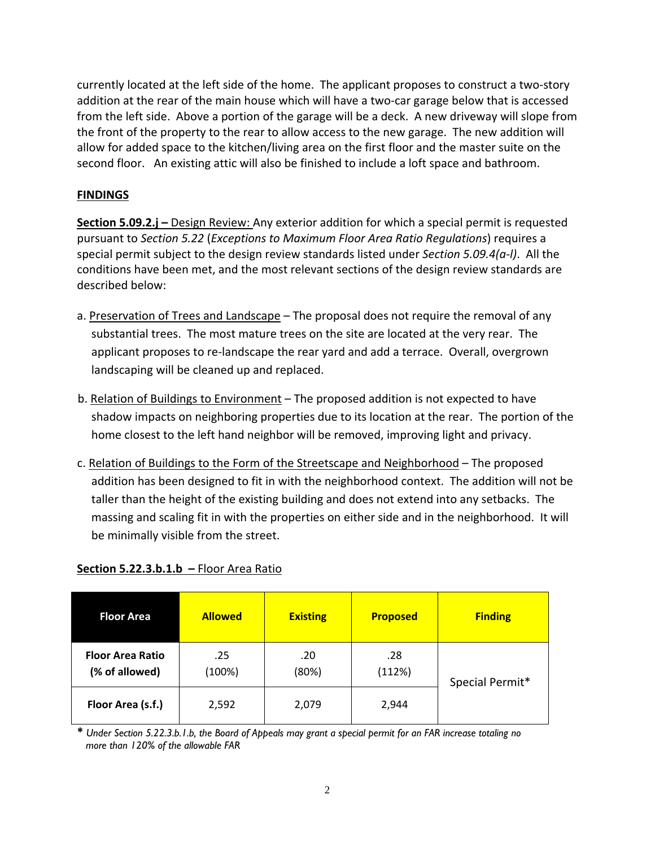currently located at the left side of the home. The applicant proposes to construct a two‐story addition at the rear of the main house which will have a two‐car garage below that is accessed from the left side. Above a portion of the garage will be a deck. A new driveway will slope from the front of the property to the rear to allow access to the new garage. The new addition will allow for added space to the kitchen/living area on the first floor and the master suite on the second floor. An existing attic will also be finished to include a loft space and bathroom.

# **FINDINGS**

**Section 5.09.2.j –** Design Review: Any exterior addition for which a special permit is requested pursuant to *Section 5.22* (*Exceptions to Maximum Floor Area Ratio Regulations*) requires a special permit subject to the design review standards listed under *Section 5.09.4(a‐l)*. All the conditions have been met, and the most relevant sections of the design review standards are described below:

- a. Preservation of Trees and Landscape The proposal does not require the removal of any substantial trees. The most mature trees on the site are located at the very rear. The applicant proposes to re‐landscape the rear yard and add a terrace. Overall, overgrown landscaping will be cleaned up and replaced.
- b. Relation of Buildings to Environment The proposed addition is not expected to have shadow impacts on neighboring properties due to its location at the rear. The portion of the home closest to the left hand neighbor will be removed, improving light and privacy.
- c. Relation of Buildings to the Form of the Streetscape and Neighborhood The proposed addition has been designed to fit in with the neighborhood context. The addition will not be taller than the height of the existing building and does not extend into any setbacks. The massing and scaling fit in with the properties on either side and in the neighborhood. It will be minimally visible from the street.

| <b>Floor Area</b>                         | <b>Allowed</b> | <b>Existing</b> | <b>Proposed</b> | <b>Finding</b>  |
|-------------------------------------------|----------------|-----------------|-----------------|-----------------|
| <b>Floor Area Ratio</b><br>(% of allowed) | .25<br>(100%)  | .20<br>(80%)    | .28<br>(112%)   | Special Permit* |
| Floor Area (s.f.)                         | 2,592          | 2,079           | 2,944           |                 |

## **Section 5.22.3.b.1.b –** Floor Area Ratio

**\*** *Under Section 5.22.3.b.1.b, the Board of Appeals may grant a special permit for an FAR increase totaling no more than 120% of the allowable FAR*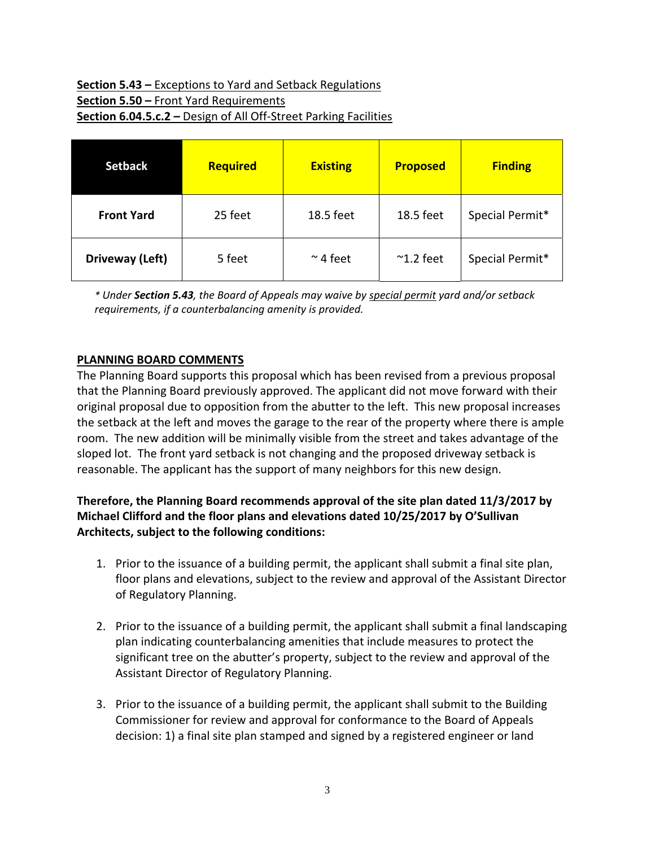# **Section 5.43 –** Exceptions to Yard and Setback Regulations **Section 5.50 –** Front Yard Requirements **Section 6.04.5.c.2 –** Design of All Off‐Street Parking Facilities

| <b>Setback</b>    | Required | <b>Existing</b> | <b>Proposed</b>    | <b>Finding</b>  |
|-------------------|----------|-----------------|--------------------|-----------------|
| <b>Front Yard</b> | 25 feet  | 18.5 feet       | 18.5 feet          | Special Permit* |
| Driveway (Left)   | 5 feet   | $\sim$ 4 feet   | $\approx$ 1.2 feet | Special Permit* |

*\* Under Section 5.43, the Board of Appeals may waive by special permit yard and/or setback requirements, if a counterbalancing amenity is provided.* 

#### **PLANNING BOARD COMMENTS**

The Planning Board supports this proposal which has been revised from a previous proposal that the Planning Board previously approved. The applicant did not move forward with their original proposal due to opposition from the abutter to the left. This new proposal increases the setback at the left and moves the garage to the rear of the property where there is ample room. The new addition will be minimally visible from the street and takes advantage of the sloped lot. The front yard setback is not changing and the proposed driveway setback is reasonable. The applicant has the support of many neighbors for this new design.

# **Therefore, the Planning Board recommends approval of the site plan dated 11/3/2017 by Michael Clifford and the floor plans and elevations dated 10/25/2017 by O'Sullivan Architects, subject to the following conditions:**

- 1. Prior to the issuance of a building permit, the applicant shall submit a final site plan, floor plans and elevations, subject to the review and approval of the Assistant Director of Regulatory Planning.
- 2. Prior to the issuance of a building permit, the applicant shall submit a final landscaping plan indicating counterbalancing amenities that include measures to protect the significant tree on the abutter's property, subject to the review and approval of the Assistant Director of Regulatory Planning.
- 3. Prior to the issuance of a building permit, the applicant shall submit to the Building Commissioner for review and approval for conformance to the Board of Appeals decision: 1) a final site plan stamped and signed by a registered engineer or land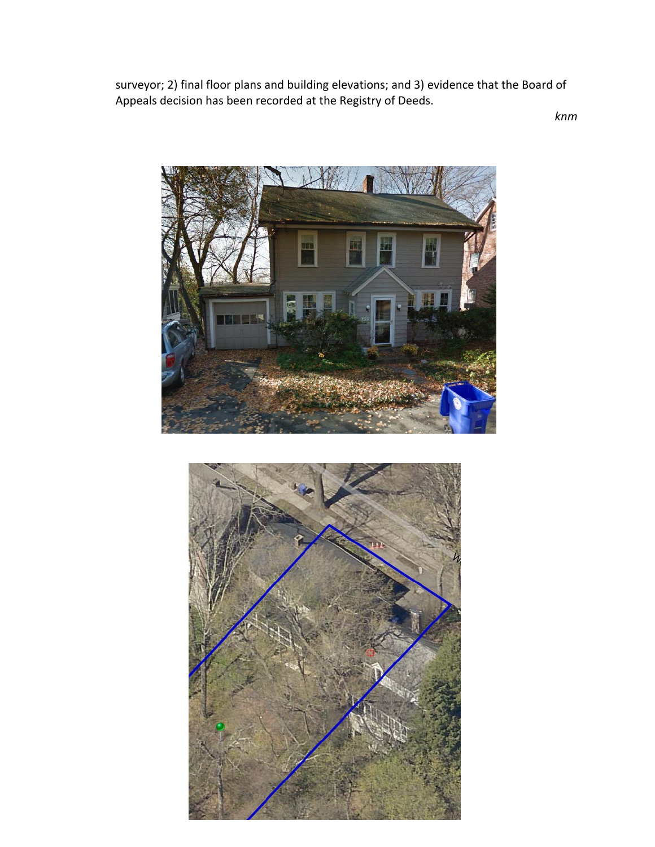surveyor; 2) final floor plans and building elevations; and 3) evidence that the Board of Appeals decision has been recorded at the Registry of Deeds.

*knm*



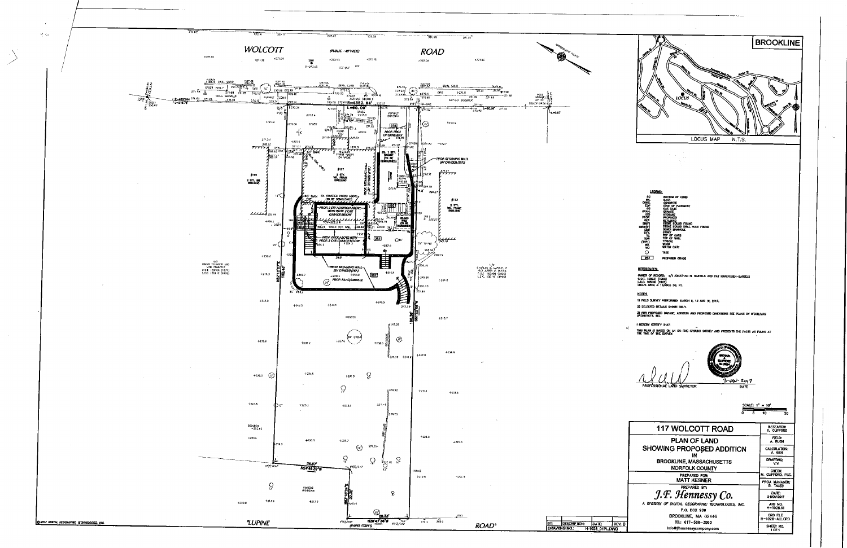

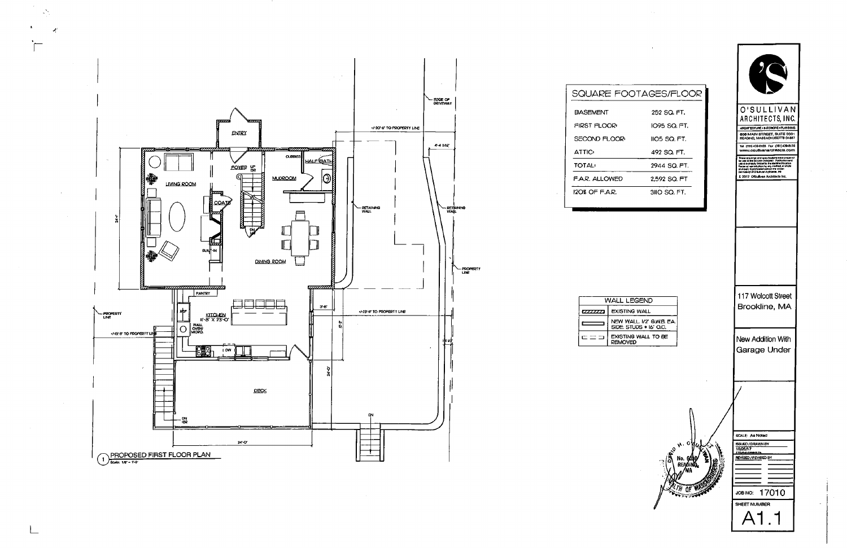



| SQUARE FOOTAGES/FLOOR                                                                                                                     |                             |                                                                                                                                                             |
|-------------------------------------------------------------------------------------------------------------------------------------------|-----------------------------|-------------------------------------------------------------------------------------------------------------------------------------------------------------|
| <b>BASEMENT</b>                                                                                                                           | 252 SQ FT.                  | O'SULLIVAN<br>ARCHITECTS, INC.                                                                                                                              |
| FIRST FLOOR<br>SECOND FLOOR:                                                                                                              | IO95 SQ FT.<br>IIO5 SQ. FT. | ARCHITECTURE I INTERIORS I PLANNING<br>606 MAIN STREET, SUITE 3001<br>READING, MASSACHUSETTS 01867                                                          |
| <b>ATTIC</b>                                                                                                                              | 492 SQ. FT.                 | Tel. (751) 439-6158 Far: (781) 439-8170<br>www.osullivanarchitects.com                                                                                      |
| <b>TOTAL</b>                                                                                                                              | 2944 SQ. FT,                | These creatings and specifications were prepared<br>by use at the location indicated - Publication and<br>use a supressly bruted to the identited incurrent |
| F.A.R. ALLOWED                                                                                                                            | 2.592 SQ. FT                | Reuss of reproduction by any mailfied, in whole<br>permason of O Europa Archaeos, Ind.<br>£ 2017 O'Sulliven Architects Inc.                                 |
| $12OZ$ OF F.A.R.                                                                                                                          | 3IIO SO. FT.                |                                                                                                                                                             |
| WALL LEGEND                                                                                                                               |                             | 117 Wolcott Street<br>Brookline, MA                                                                                                                         |
| <b>EXISTING WALL</b><br>$\frac{1}{2777777}$<br>NEW WALL, 1/2" G.W.B. EA.<br>SIDE STUDS . I6 O.C.<br>EXISTING WALL TO BE<br>드그그<br>REMOVED |                             | New Addition With<br>Garage Under                                                                                                                           |
|                                                                                                                                           | . ohu                       | <b>SCALE: As Noted</b><br>ISSUED / DRAWN BY<br>10/25/17<br><b>REVISED / REVISED BY</b><br>17010<br>JOB NO:<br>SHEET NUMBER                                  |

 $\sim 10^{-1}$  $\frac{1}{\sqrt{2}}$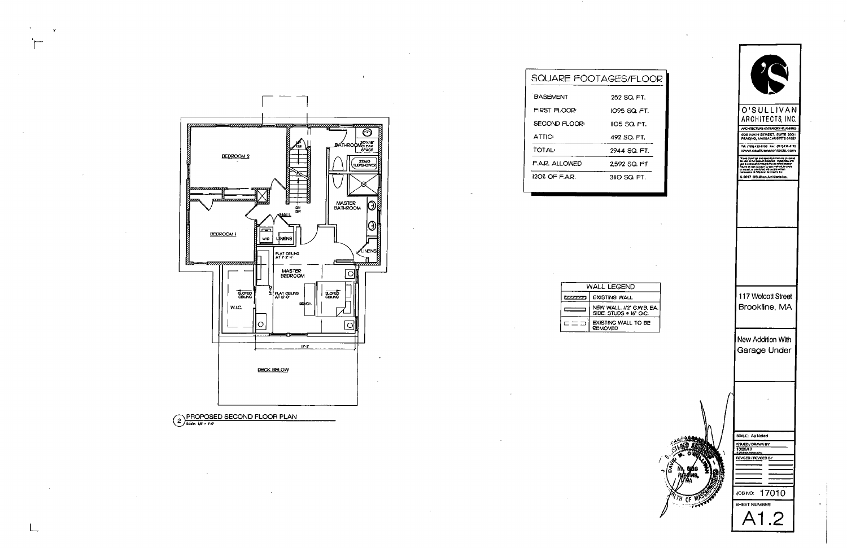

| SQUARE FOOTAGES       |             |
|-----------------------|-------------|
| <b>BASEMENT</b>       | 252 :       |
| <b>FIRST FLOOR:</b>   | IO95        |
| <b>SECOND FLOOR</b>   | <b>IIO5</b> |
| <b>ATTIC:</b>         | 492 (       |
| <b>TOTAL:</b>         | 2944        |
| <b>F.A.R. ALLOWED</b> | 2,592       |
| 12O% OF F.A.R.        | 311O :      |
|                       |             |

|        | WALL LEGE                           |  |
|--------|-------------------------------------|--|
| 777777 | <b>EXISTING W</b>                   |  |
|        | NEW WALL.<br>SIDE. STUDS            |  |
|        | <b>EXISTING W</b><br><b>REMOVED</b> |  |

 $\sim$ 

 $\lfloor$ 

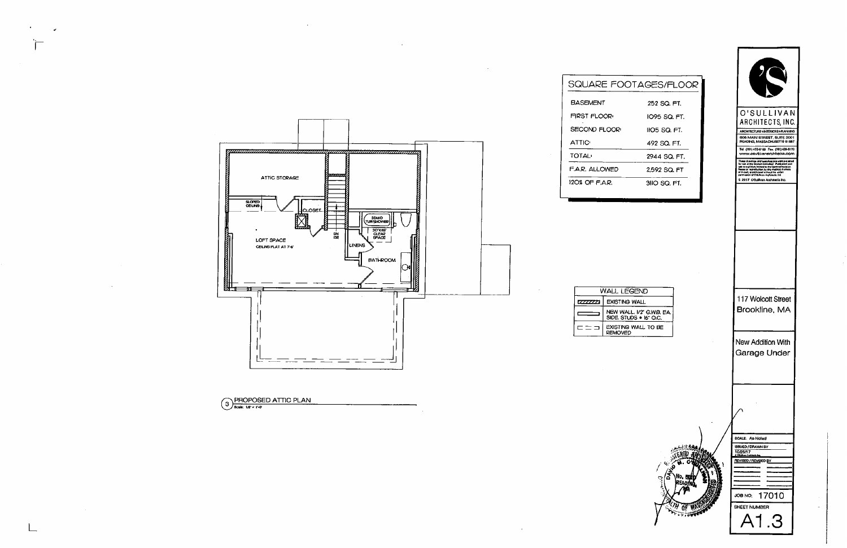

| SQUARE F(                |
|--------------------------|
| BASEMENT                 |
| FIRST FLOOR <sub>'</sub> |
| SECOND FLOOR:            |
| <b>ATTIC</b>             |
| TOTAL                    |
| F.A.R. ALLOWED           |
| $12O3$ OF F.A.R.         |
|                          |
|                          |

|        | WALL L                     |
|--------|----------------------------|
| 777777 | <b>EXISTI</b>              |
|        | NEW V<br>SIDE <sub>5</sub> |
|        | <b>EXISTIN</b><br>REMO\    |

3 PROPOSED ATTIC PLAN

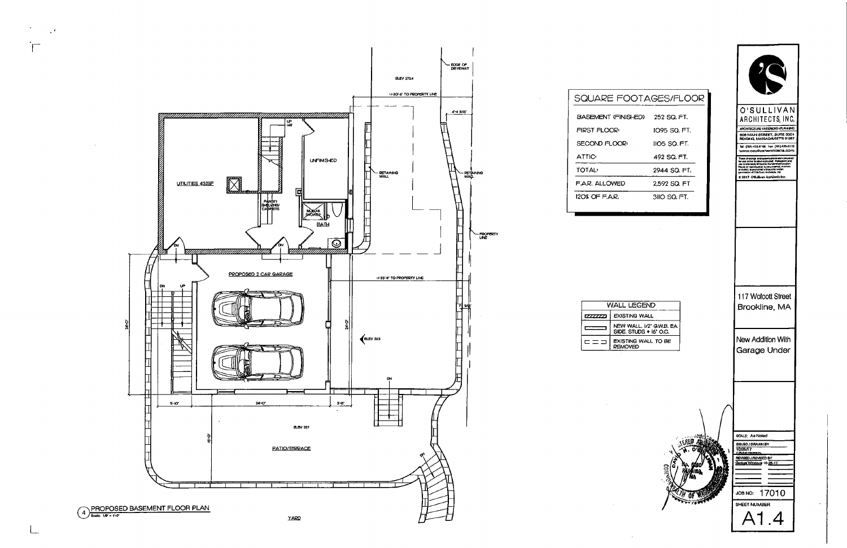

 $\sim$ 

 $\Gamma$ 

L

 $\sim$   $\epsilon$ 

# $rac{c}{1}$  $\overline{\phantom{a}}$

| SQUARE FOOTAGES/FLOOR<br>BASEMENT (FINISHED)<br><b>FIRST FLOOR:</b><br>SECOND FLOOR<br><b>ATTIC</b><br><b>TOTAL:</b><br>F.A.R. ALLOWED<br>120% OF F.A.R.                  | 252 SQ. FT.<br>IO95 SQ. FT.<br>IIO5 SQ. FT.<br>492 SQ. FT.<br>2944 SQ FT.<br>2,592 SQ. FT<br>3110 SQ, FT. | C<br>O'SULLIVAN<br>ARCHITECTS, INC.<br>ARCHITECTURE I INTERIORS I PLAN ING<br>606 MAIN STREET, SUITE 3001<br>READING, MASSACHUSETT9 01807<br>Tel. (781) 433-6'66 Fax: (781) 439-6170<br>www.oauliivanarchitecte.com<br>These character and apsointance was prepared<br>for use at the logical reduced. Published and<br>use a supressly imited by the formulation and<br>Hende or reground to by any mated, in this<br>or must, is prohibled without the widen<br>permetar of O Busan Architects inc.<br>D 2017 O'Sullivan Architects Inc. |
|---------------------------------------------------------------------------------------------------------------------------------------------------------------------------|-----------------------------------------------------------------------------------------------------------|--------------------------------------------------------------------------------------------------------------------------------------------------------------------------------------------------------------------------------------------------------------------------------------------------------------------------------------------------------------------------------------------------------------------------------------------------------------------------------------------------------------------------------------------|
| <b>WALL LEGEND</b><br><b>EXISTING WALL</b><br>777772<br>NEW WALL, I/2" G.W.B. EA.<br>يستحققها<br>SIDE. STUDS . 16° O.C.<br>EXISTING WALL TO BE<br>$= 1$<br><b>REMOVED</b> |                                                                                                           | 117 Wolcott Street<br>Brookline, MA<br>New Addition With<br>Garage Under                                                                                                                                                                                                                                                                                                                                                                                                                                                                   |
|                                                                                                                                                                           | È                                                                                                         | SCALE: As Noted<br><b>ISSUED / DRAWN BY</b><br>10/25/17<br>a katu<br><u>REVISED / REVISED BY</u><br>Garage Windows 10-20-17<br>17010<br>JOB NO:<br>SHEET NUMBER<br>A1 ∠                                                                                                                                                                                                                                                                                                                                                                    |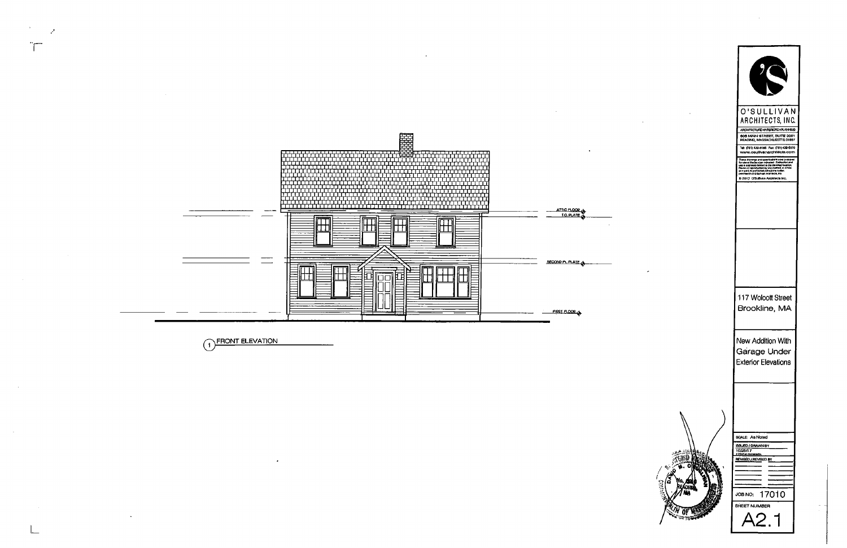

THONT ELEVATION

 $\mathcal{P}$ 

 $\overline{\Gamma}$ 

 $\sim 10^7$ 



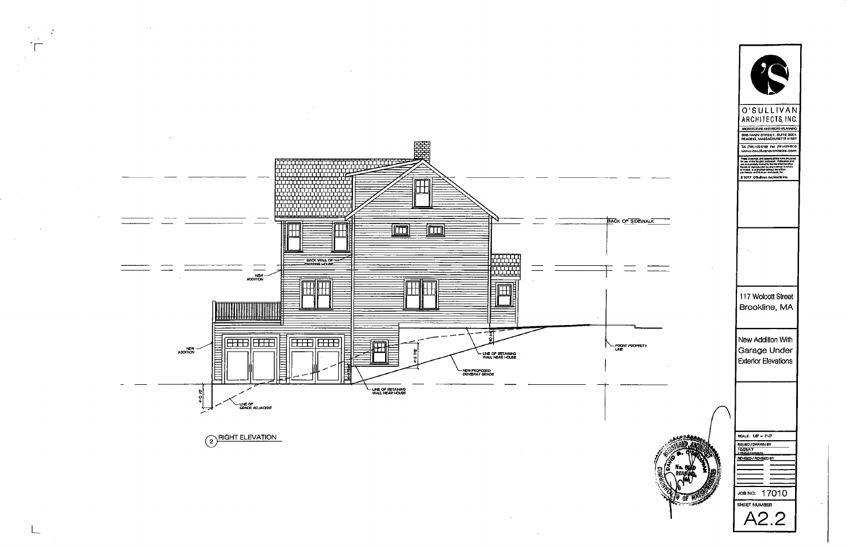



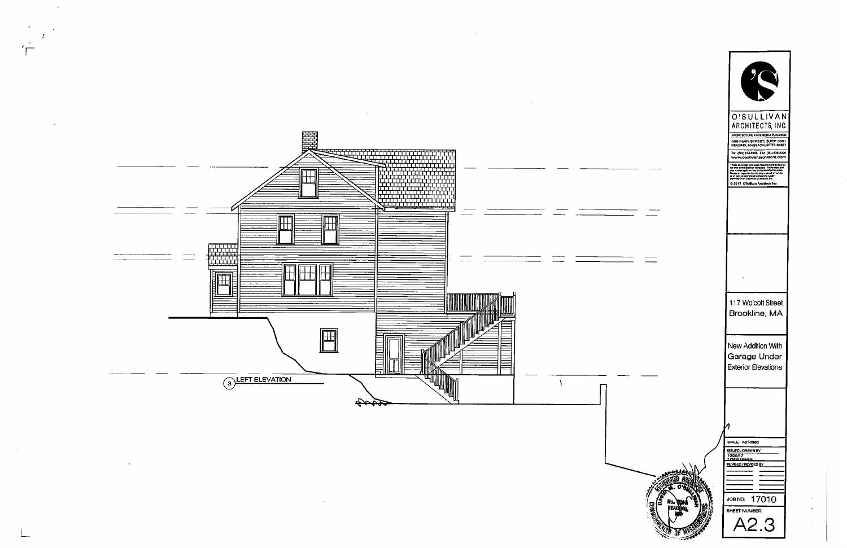

O'SULLIVAN ARCHITECTS, INC. ARCHITECTURE INTERCES PLANNING<br>600 MAIN STREET, SUITE 3001<br>READING, MASSACHUSETTS 01887 Tel: (781) 432-6166<br>www.osullivanarchitects.com hele drawing and spectralized wire profer<br>a wealthe location modeled. Publication and<br>as a expressly known modeled. Publication and<br>letters at reproduction by early metrod in white<br>a mission application metroduction of the D 2017 O'Sullivan Architects Inc. 117 Wolcott Street Brookline, MA New Addition With Garage Under **Exterior Elevations** SCALE: As Noted SSUED / DRAWN BY<br>10/25/17<br>19 Main follows REVISED / REVISED BY **JOB NO: 17010** SHEET NUMBER A2.3

 $\omega$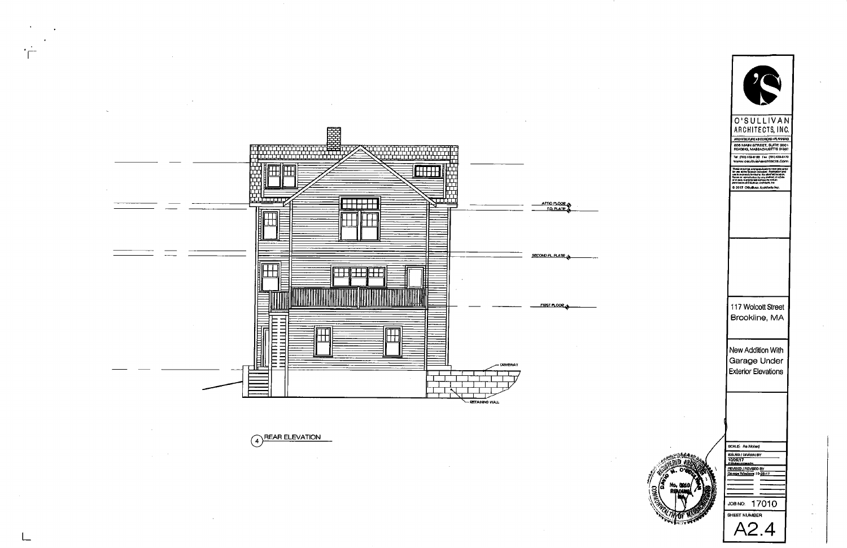

 $\sim 10^{-1}$ 



 $\sim$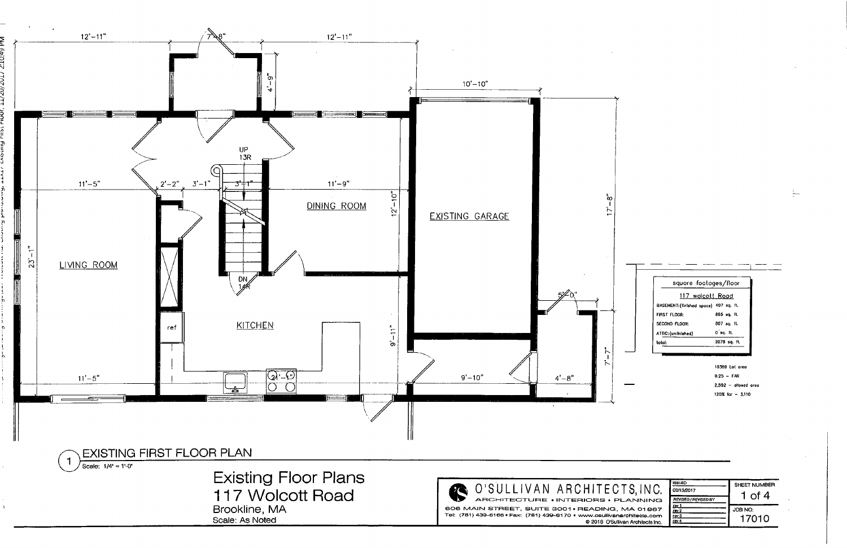

| squore footoges/floor                  |                  |
|----------------------------------------|------------------|
|                                        | 117 wolcott Road |
| BASEMENT: (finished spoce) 407 sq. ft. |                  |
| FIRST FLOOR:                           | 865 sq. It.      |
| SECOND FLOOR:                          | 807 sq. ft.      |
| ATRC: (unfinished)                     | $0$ sq. $f$ l.   |
| totol:                                 | 2079 sq. ft.     |

| 10369 Lot area         |
|------------------------|
| $0.25 - FAR$           |
| $2.592 -$ offowed area |
| 120% for - 3,110       |

|                                      | <b>ISSUED</b>         | <b>SHEET NUMBER</b> |
|--------------------------------------|-----------------------|---------------------|
| TS.INC.                              | 03/13/2017            | 1 of $4$            |
| <b>ANNING</b>                        | REVISED / REVISED BY  |                     |
| MA 01867                             | rev 1<br><u>rev 2</u> | JOB NO:             |
| ırchitecls.com<br>an Architects Inc. | rev 3<br>rev 4        | 17010               |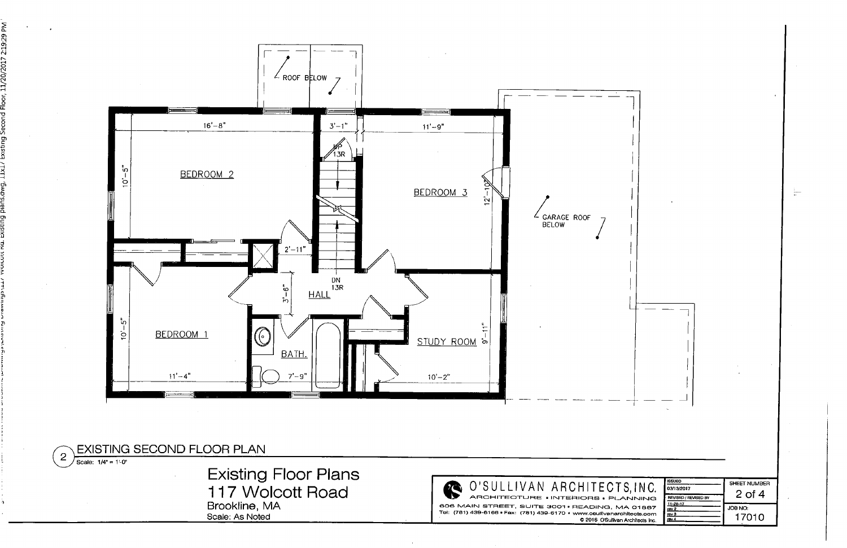

**Existing Floor Plans** 117 Wolcott Road Brookline, MA<br>Scale: As Noted

ß  $\cup$ S. ARCHITECTURE INTERIORS I PL 606 MAIN STREET, SUITE 3001 · READING, M Tel: (781) 439-6166 · Fax: (781) 439-6170 · www.osuillvanard © 2016 O'Sullivan

| S, INC.                                       | <b>ISSUED</b><br>03/13/2017         | SHEET NUMBER     |
|-----------------------------------------------|-------------------------------------|------------------|
| ANNING                                        | REVISED / REVISED BY                | $2$ of 4         |
| 1A 01867<br>chitects.com<br>ר Architects Inc. | 11-20-17<br>rov 2<br>rev 3<br>row 4 | JOB NO:<br>17010 |

H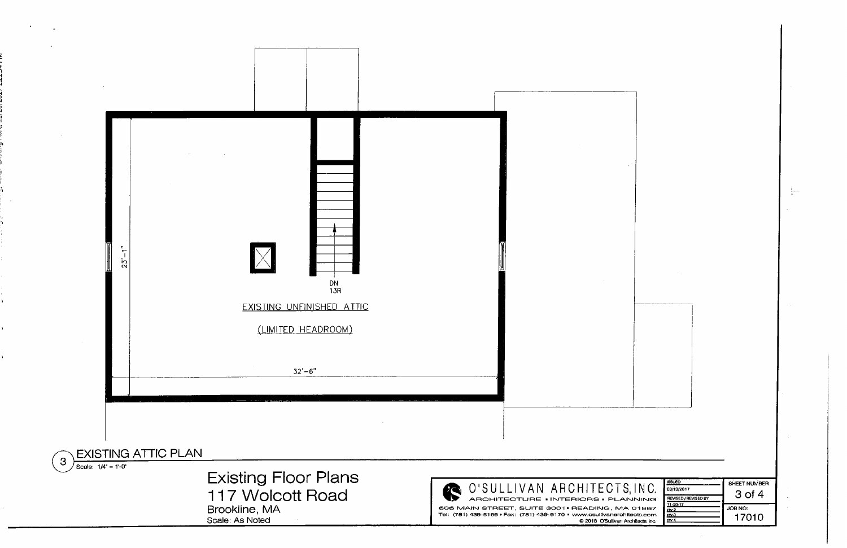

|                   | <b>ISSUED</b>        | SHEET NUMBER |
|-------------------|----------------------|--------------|
| S, INC.           | 03/13/2017           | 3 of 4       |
| ANNING            | REVISED / REVISED BY |              |
| IA 01887          | 11-20-17<br>rev2     | JOB NO:      |
| hitects.com       | rev 3                | 17010        |
| i Architects Inc. | rev 4                |              |

H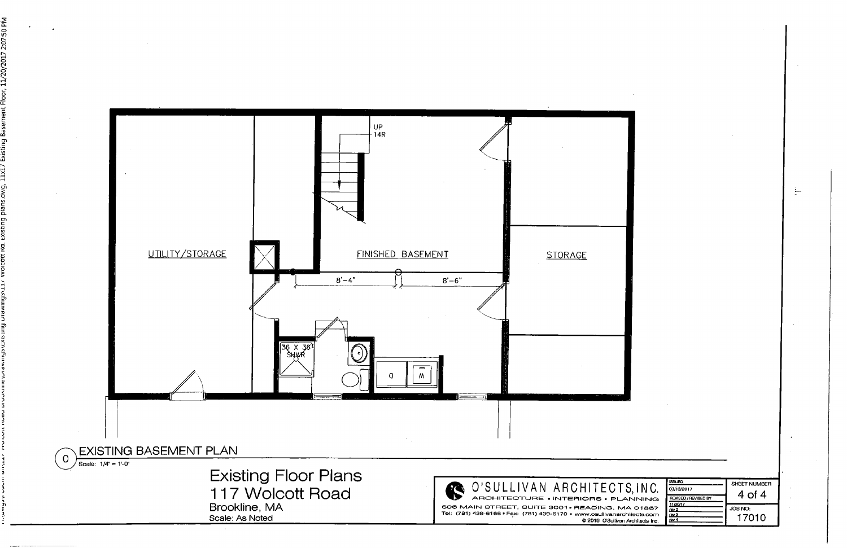

2:07:50 PM

t Floor

| S. INC.                        | <b>ISSUED</b><br>03/13/2017 | SHEET NUMBER<br>4 of 4 |
|--------------------------------|-----------------------------|------------------------|
| ANNING                         | REVISED / REVISED BY        |                        |
| A 01867                        | 11/20/17<br>re / 2          | JOB NO:                |
| hiteots.com<br>Architects Inc. | rev 3<br>rev 4              | 17010                  |

È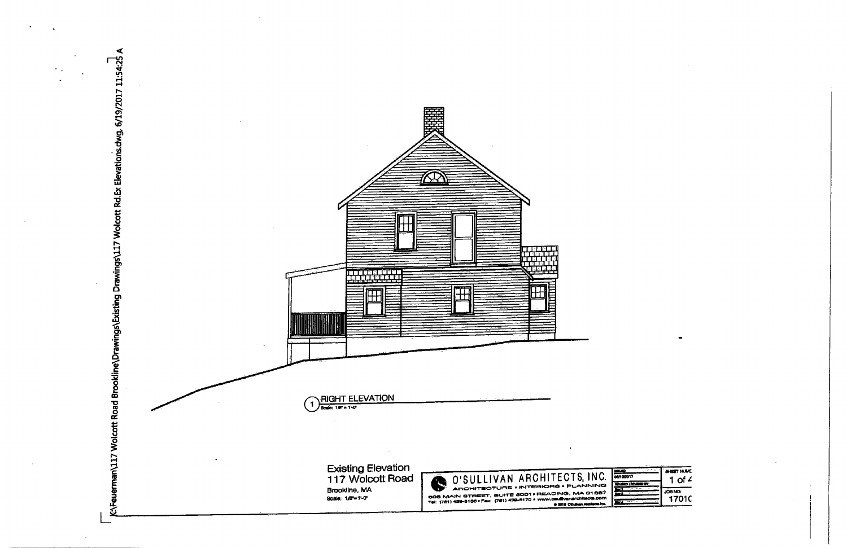

|         | SHEET NUME  |
|---------|-------------|
| 12017   | of $\angle$ |
| ۰.<br>п |             |
|         | JOB NO:     |
|         | 17010       |
|         |             |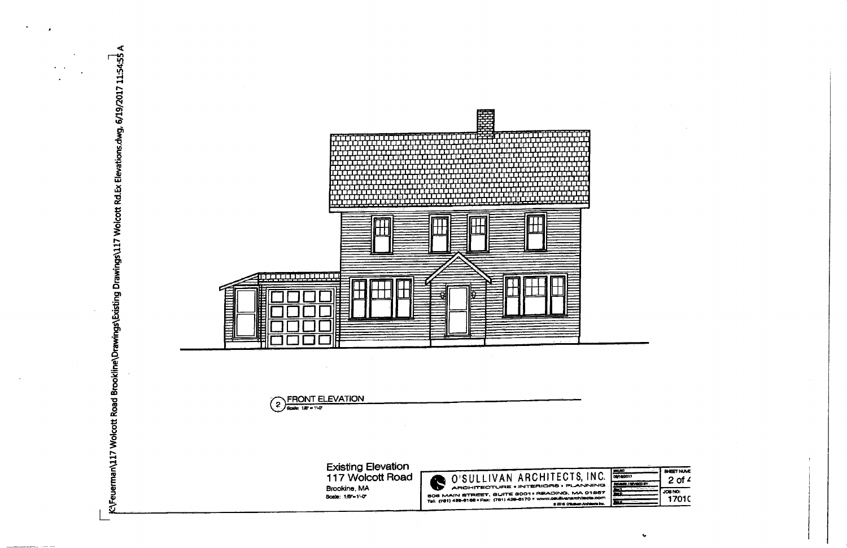

| <b>SHEET NUME</b> |         |
|-------------------|---------|
| 2 of $\angle$     | 4017    |
|                   | m.<br>m |
| JOB NO:           |         |
| 17010             |         |
|                   |         |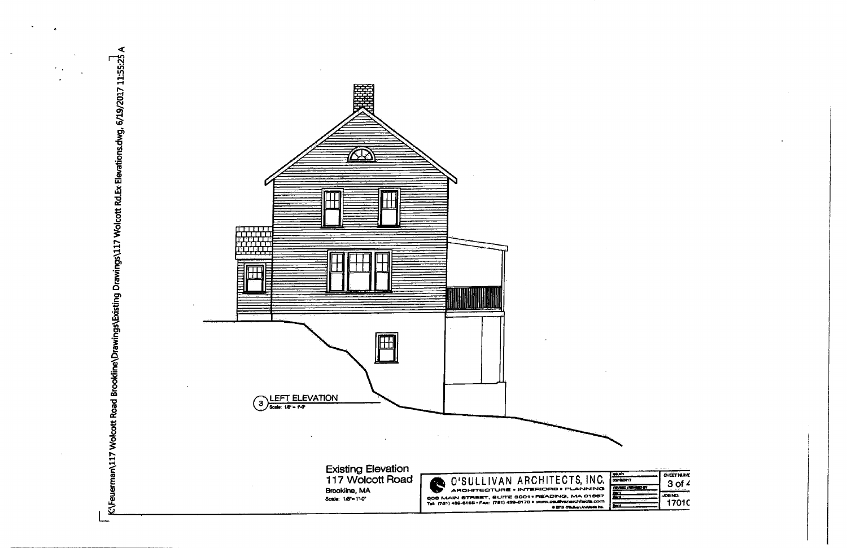

 $\sim$   $\sim$ 

|       | <b>CHEET NUME</b> |
|-------|-------------------|
| 201 Z | $3$ of $4$        |
|       |                   |
|       | JOB NO:           |
|       |                   |
|       | 17010             |
|       |                   |